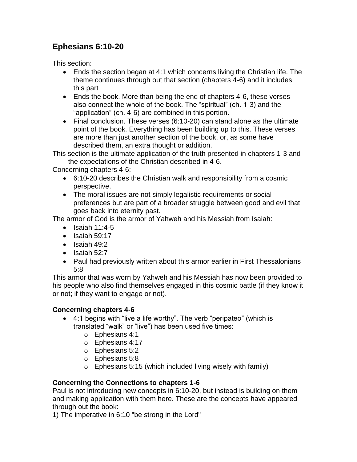## **Ephesians 6:10-20**

This section:

- Ends the section began at 4:1 which concerns living the Christian life. The theme continues through out that section (chapters 4-6) and it includes this part
- Ends the book. More than being the end of chapters 4-6, these verses also connect the whole of the book. The "spiritual" (ch. 1-3) and the "application" (ch. 4-6) are combined in this portion.
- Final conclusion. These verses (6:10-20) can stand alone as the ultimate point of the book. Everything has been building up to this. These verses are more than just another section of the book, or, as some have described them, an extra thought or addition.

This section is the ultimate application of the truth presented in chapters 1-3 and the expectations of the Christian described in 4-6.

Concerning chapters 4-6:

- 6:10-20 describes the Christian walk and responsibility from a cosmic perspective.
- The moral issues are not simply legalistic requirements or social preferences but are part of a broader struggle between good and evil that goes back into eternity past.

The armor of God is the armor of Yahweh and his Messiah from Isaiah:

- $\bullet$  Isaiah 11:4-5
- $\bullet$  Isaiah 59:17
- $\bullet$  Isaiah 49:2
- $\bullet$  Isaiah 52:7
- Paul had previously written about this armor earlier in First Thessalonians 5:8

This armor that was worn by Yahweh and his Messiah has now been provided to his people who also find themselves engaged in this cosmic battle (if they know it or not; if they want to engage or not).

## **Concerning chapters 4-6**

- 4:1 begins with "live a life worthy". The verb "peripateo" (which is translated "walk" or "live") has been used five times:
	- o Ephesians 4:1
	- o Ephesians 4:17
	- o Ephesians 5:2
	- o Ephesians 5:8
	- $\circ$  Ephesians 5:15 (which included living wisely with family)

## **Concerning the Connections to chapters 1-6**

Paul is not introducing new concepts in 6:10-20, but instead is building on them and making application with them here. These are the concepts have appeared through out the book:

1) The imperative in 6:10 "be strong in the Lord"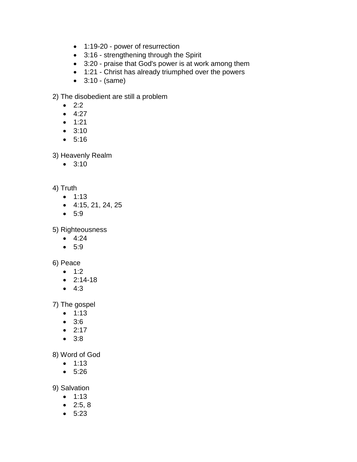- 1:19-20 power of resurrection
- 3:16 strengthening through the Spirit
- 3:20 praise that God's power is at work among them
- 1:21 Christ has already triumphed over the powers
- $\bullet$  3:10 (same)

2) The disobedient are still a problem

- $2:2$
- $4:27$
- $1:21$
- 3:10
- 5:16

3) Heavenly Realm

• 3:10

## 4) Truth

- $1:13$
- $-4:15, 21, 24, 25$
- 5:9

5) Righteousness

- $-4:24$
- 5:9

6) Peace

- $1:2$
- $2:14-18$
- $-4:3$

7) The gospel

- $1:13$
- 3:6
- $2:17$
- 3:8

8) Word of God

- $1:13$
- 5:26

9) Salvation

- $1:13$
- $2:5, 8$
- 5:23